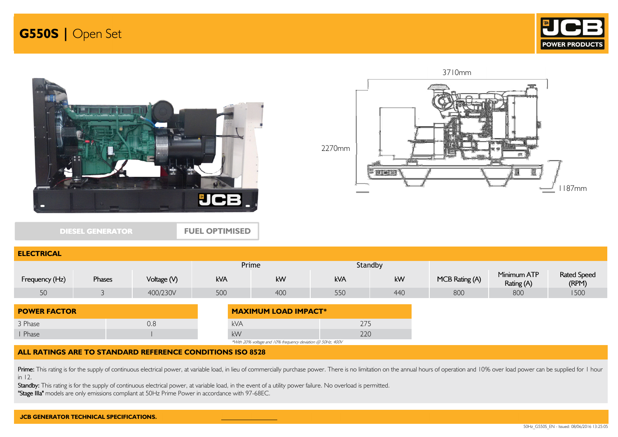





DIESEL GENERATOR

ELECTRICA

FUEL OPTIMISED



| <b>LLLVINIVAL</b>   |        |             |            |                                                            |         |     |                |                           |                             |
|---------------------|--------|-------------|------------|------------------------------------------------------------|---------|-----|----------------|---------------------------|-----------------------------|
|                     |        |             | Prime      |                                                            | Standby |     |                |                           |                             |
| Frequency (Hz)      | Phases | Voltage (V) | <b>kVA</b> | kW                                                         | kVA     | kW  | MCB Rating (A) | Minimum ATP<br>Rating (A) | <b>Rated Speed</b><br>(RPM) |
| 50                  |        | 400/230V    | 500        | 400                                                        | 550     | 440 | 800            | 800                       | 1500                        |
| <b>POWER FACTOR</b> |        |             |            | <b>MAXIMUM LOAD IMPACT*</b>                                |         |     |                |                           |                             |
| 3 Phase             |        | 0.8         | kVA        |                                                            | 275     |     |                |                           |                             |
| I Phase             |        |             | kW         |                                                            | 220     |     |                |                           |                             |
|                     |        |             |            | *With 20% voltage and 10% frequency deviation @ 50Hz, 400V |         |     |                |                           |                             |

## ALL RATINGS ARE TO STANDARD REFERENCE CONDITIONS ISO 8528

Prime: This rating is for the supply of continuous electrical power, at variable load, in lieu of commercially purchase power. There is no limitation on the annual hours of operation and 10% over load power can be supplied in 12.

Standby: This rating is for the supply of continuous electrical power, at variable load, in the event of a utility power failure. No overload is permitted.

"Stage IIIa" models are only emissions compliant at 50Hz Prime Power in accordance with 97-68EC.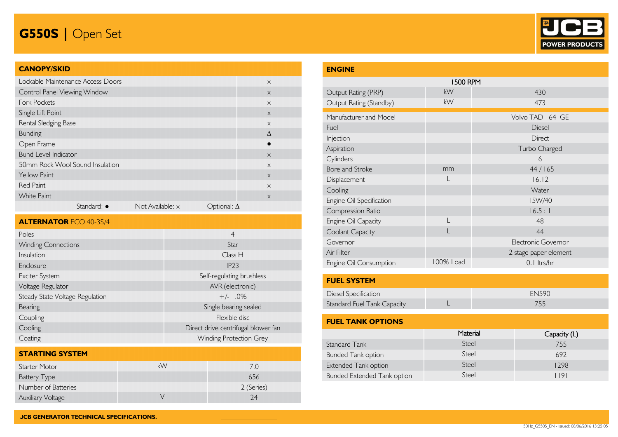# G550S | Open Set



## CANOPY/SKID

| Lockable Maintenance Access Doors |                     |                  |                    | $\times$  |
|-----------------------------------|---------------------|------------------|--------------------|-----------|
| Control Panel Viewing Window      |                     |                  |                    | $\times$  |
| <b>Fork Pockets</b>               |                     |                  |                    | $\times$  |
| Single Lift Point                 |                     |                  |                    | $\times$  |
| Rental Sledging Base              |                     |                  |                    | $\times$  |
| <b>Bunding</b>                    |                     |                  |                    | $\Lambda$ |
| Open Frame                        |                     |                  |                    | $\bullet$ |
| <b>Bund Level Indicator</b>       |                     |                  |                    | $\times$  |
| 50mm Rock Wool Sound Insulation   |                     |                  |                    | $\times$  |
| <b>Yellow Paint</b>               |                     |                  |                    | $\times$  |
| <b>Red Paint</b>                  |                     |                  |                    | $\times$  |
| <b>White Paint</b>                |                     |                  |                    | $\times$  |
|                                   | Standard: $\bullet$ | Not Available: x | Optional: $\Delta$ |           |

| <b>ALTERNATOR ECO 40-3S/4</b>   |                                     |  |  |  |  |
|---------------------------------|-------------------------------------|--|--|--|--|
| Poles                           | $\overline{4}$                      |  |  |  |  |
| <b>Winding Connections</b>      | Star                                |  |  |  |  |
| Insulation                      | Class H                             |  |  |  |  |
| Enclosure                       | IP23                                |  |  |  |  |
| Exciter System                  | Self-regulating brushless           |  |  |  |  |
| Voltage Regulator               | AVR (electronic)                    |  |  |  |  |
| Steady State Voltage Regulation | $+/- 1.0%$                          |  |  |  |  |
| Bearing                         | Single bearing sealed               |  |  |  |  |
| Coupling                        | Flexible disc                       |  |  |  |  |
| Cooling                         | Direct drive centrifugal blower fan |  |  |  |  |
| Coating                         | <b>Winding Protection Grey</b>      |  |  |  |  |

| <b>STARTING SYSTEM</b>   |    |            |  |  |  |  |
|--------------------------|----|------------|--|--|--|--|
| Starter Motor            | kW | 7 O        |  |  |  |  |
| <b>Battery Type</b>      |    | 656        |  |  |  |  |
| Number of Batteries      |    | 2 (Series) |  |  |  |  |
| <b>Auxiliary Voltage</b> |    | 24         |  |  |  |  |

| <b>ENGINE</b>               |           |                       |  |  |  |  |  |
|-----------------------------|-----------|-----------------------|--|--|--|--|--|
| <b>1500 RPM</b>             |           |                       |  |  |  |  |  |
| Output Rating (PRP)         | kW        | 430                   |  |  |  |  |  |
| Output Rating (Standby)     | kW        | 473                   |  |  |  |  |  |
| Manufacturer and Model      |           | Volvo TAD 1641GE      |  |  |  |  |  |
| Fuel                        |           | Diesel                |  |  |  |  |  |
| Injection                   |           | Direct                |  |  |  |  |  |
| Aspiration                  |           | Turbo Charged         |  |  |  |  |  |
| Cylinders                   |           | 6                     |  |  |  |  |  |
| Bore and Stroke             | mm        | 144/165               |  |  |  |  |  |
| Displacement                |           | 16.12                 |  |  |  |  |  |
| Cooling                     |           | Water                 |  |  |  |  |  |
| Engine Oil Specification    |           | I5W/40                |  |  |  |  |  |
| Compression Ratio           |           | 16.5:1                |  |  |  |  |  |
| Engine Oil Capacity         |           | 48                    |  |  |  |  |  |
| Coolant Capacity            |           | 44                    |  |  |  |  |  |
| Governor                    |           | Electronic Governor   |  |  |  |  |  |
| Air Filter                  |           | 2 stage paper element |  |  |  |  |  |
| Engine Oil Consumption      | 100% Load | 0.1 ltrs/hr           |  |  |  |  |  |
| <b>FUEL SYSTEM</b>          |           |                       |  |  |  |  |  |
| Diesel Specification        |           | <b>EN590</b>          |  |  |  |  |  |
| Standard Fuel Tank Capacity |           | 755                   |  |  |  |  |  |
| <b>FUEL TANK OPTIONS</b>    |           |                       |  |  |  |  |  |

|                             | Material | Capacity (L) |  |  |  |  |
|-----------------------------|----------|--------------|--|--|--|--|
| Standard Tank               | Steel    | 755          |  |  |  |  |
| <b>Bunded Tank option</b>   | Steel    | 692          |  |  |  |  |
| <b>Extended Tank option</b> | Steel    | 1298         |  |  |  |  |
| Bunded Extended Tank option | Steel    | 191          |  |  |  |  |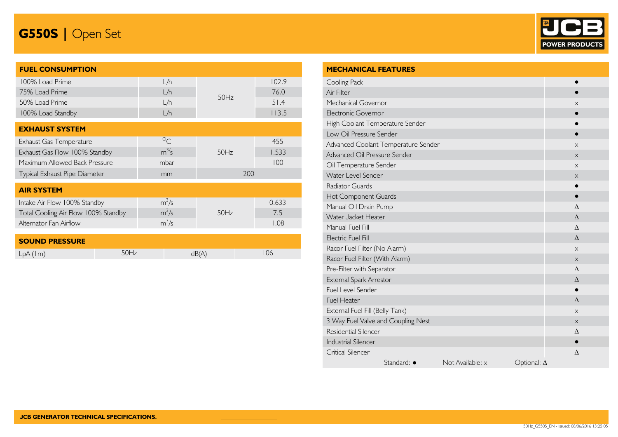# G550S | Open Set



| <b>FUEL CONSUMPTION</b>             |             |      |       |
|-------------------------------------|-------------|------|-------|
| 100% Load Prime                     | L/h         |      | 102.9 |
| 75% Load Prime                      | L/h         | 50Hz | 76.0  |
| 50% Load Prime                      | L/h         |      | 51.4  |
| 100% Load Standby                   | L/h         |      | 113.5 |
|                                     |             |      |       |
| <b>EXHAUST SYSTEM</b>               |             |      |       |
| Exhaust Gas Temperature             | $\circ_{C}$ |      | 455   |
| Exhaust Gas Flow 100% Standby       | $m^{3/5}$   | 50Hz | 1.533 |
| Maximum Allowed Back Pressure       | mbar        |      | 100   |
| Typical Exhaust Pipe Diameter       | mm          | 200  |       |
|                                     |             |      |       |
| <b>AIR SYSTEM</b>                   |             |      |       |
| Intake Air Flow 100% Standby        | $m^3/s$     |      | 0.633 |
| Total Cooling Air Flow 100% Standby | $m^3/s$     | 50Hz | 7.5   |
| Alternator Fan Airflow              | $m^3/s$     |      | 1.08  |
|                                     |             |      |       |
| <b>SOUND PRESSURE</b>               |             |      |       |

| SUUND FRESSURE |  |    |
|----------------|--|----|
| LDA<br>$\sim$  |  | JE |

| <b>MECHANICAL FEATURES</b>                            |           |
|-------------------------------------------------------|-----------|
| Cooling Pack                                          |           |
| Air Filter                                            |           |
| Mechanical Governor                                   | X         |
| Electronic Governor                                   |           |
| High Coolant Temperature Sender                       |           |
| Low Oil Pressure Sender                               |           |
| Advanced Coolant Temperature Sender                   | $\times$  |
| Advanced Oil Pressure Sender                          | $\times$  |
| Oil Temperature Sender                                | $\times$  |
| Water Level Sender                                    | X         |
| Radiator Guards                                       |           |
| Hot Component Guards                                  | $\bullet$ |
| Manual Oil Drain Pump                                 | $\wedge$  |
| Water Jacket Heater                                   | $\wedge$  |
| Manual Fuel Fill                                      | $\wedge$  |
| <b>Electric Fuel Fill</b>                             | $\wedge$  |
| Racor Fuel Filter (No Alarm)                          | $\times$  |
| Racor Fuel Filter (With Alarm)                        | $\times$  |
| Pre-Filter with Separator                             | $\wedge$  |
| External Spark Arrestor                               | $\wedge$  |
| Fuel Level Sender                                     | ●         |
| <b>Fuel Heater</b>                                    | $\Lambda$ |
| External Fuel Fill (Belly Tank)                       | X         |
| 3 Way Fuel Valve and Coupling Nest                    | X         |
| Residential Silencer                                  | Δ         |
| <b>Industrial Silencer</b>                            |           |
| <b>Critical Silencer</b>                              | Δ         |
| Standard: •<br>Not Available: x<br>Optional: $\Delta$ |           |